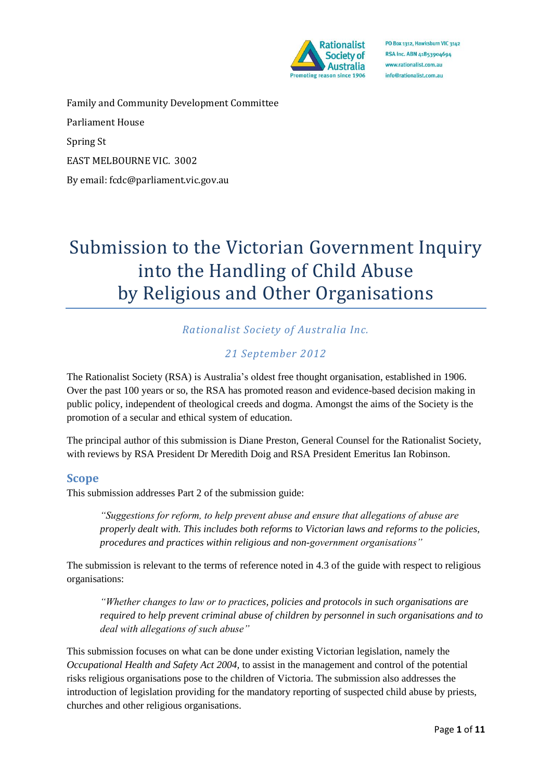

Family and Community Development Committee Parliament House Spring St EAST MELBOURNE VIC. 3002 By email: fcdc@parliament.vic.gov.au

# Submission to the Victorian Government Inquiry into the Handling of Child Abuse by Religious and Other Organisations

# *Rationalist Society of Australia Inc.*

# *21 September 2012*

The Rationalist Society (RSA) is Australia's oldest free thought organisation, established in 1906. Over the past 100 years or so, the RSA has promoted reason and evidence-based decision making in public policy, independent of theological creeds and dogma. Amongst the aims of the Society is the promotion of a secular and ethical system of education.

The principal author of this submission is Diane Preston, General Counsel for the Rationalist Society, with reviews by RSA President Dr Meredith Doig and RSA President Emeritus Ian Robinson.

#### **Scope**

This submission addresses Part 2 of the submission guide:

*"Suggestions for reform, to help prevent abuse and ensure that allegations of abuse are properly dealt with. This includes both reforms to Victorian laws and reforms to the policies, procedures and practices within religious and non-government organisations"*

The submission is relevant to the terms of reference noted in 4.3 of the guide with respect to religious organisations:

*"Whether changes to law or to practices, policies and protocols in such organisations are required to help prevent criminal abuse of children by personnel in such organisations and to deal with allegations of such abuse"*

This submission focuses on what can be done under existing Victorian legislation, namely the *Occupational Health and Safety Act 2004,* to assist in the management and control of the potential risks religious organisations pose to the children of Victoria. The submission also addresses the introduction of legislation providing for the mandatory reporting of suspected child abuse by priests, churches and other religious organisations.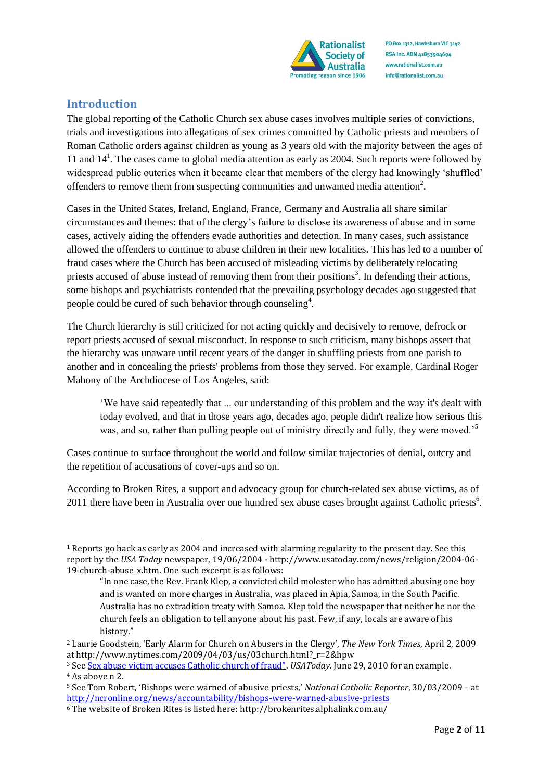

# **Introduction**

The global reporting of the Catholic Church sex abuse cases involves multiple series of convictions, trials and investigations into allegations of sex crimes committed by Catholic priests and members of Roman Catholic orders against children as young as 3 years old with the majority between the ages of 11 and  $14<sup>1</sup>$ . The cases came to global media attention as early as 2004. Such reports were followed by widespread public outcries when it became clear that members of the clergy had knowingly 'shuffled' offenders to remove them from suspecting communities and unwanted media attention<sup>2</sup>.

Cases in the United States, Ireland, England, France, Germany and Australia all share similar circumstances and themes: that of the clergy's failure to disclose its awareness of abuse and in some cases, actively aiding the offenders evade authorities and detection. In many cases, such assistance allowed the offenders to continue to abuse children in their new localities. This has led to a number of fraud cases where the Church has been accused of misleading victims by deliberately relocating priests accused of abuse instead of removing them from their positions<sup>3</sup>. In defending their actions, some bishops and psychiatrists contended that the prevailing psychology decades ago suggested that people could be cured of such behavior through counseling<sup>4</sup>.

The Church hierarchy is still criticized for not acting quickly and decisively to remove, defrock or report priests accused of sexual misconduct. In response to such criticism, many bishops assert that the hierarchy was unaware until recent years of the danger in shuffling priests from one parish to another and in concealing the priests' problems from those they served. For example, Cardinal Roger Mahony of the Archdiocese of Los Angeles, said:

'We have said repeatedly that ... our understanding of this problem and the way it's dealt with today evolved, and that in those years ago, decades ago, people didn't realize how serious this was, and so, rather than pulling people out of ministry directly and fully, they were moved.<sup>5</sup>

Cases continue to surface throughout the world and follow similar trajectories of denial, outcry and the repetition of accusations of cover-ups and so on.

According to Broken Rites, a support and advocacy group for church-related sex abuse victims, as of 2011 there have been in Australia over one hundred sex abuse cases brought against Catholic priests<sup>6</sup>.

<sup>-</sup><sup>1</sup> Reports go back as early as 2004 and increased with alarming regularity to the present day. See this report by the *USA Today* newspaper, 19/06/2004 - http://www.usatoday.com/news/religion/2004-06- 19-church-abuse\_x.htm. One such excerpt is as follows:

<sup>&</sup>quot;In one case, the Rev. Frank Klep, a convicted child molester who has admitted abusing one boy and is wanted on more charges in Australia, was placed in Apia, Samoa, in the South Pacific. Australia has no extradition treaty with Samoa. Klep told the newspaper that neither he nor the church feels an obligation to tell anyone about his past. Few, if any, locals are aware of his history."

<sup>2</sup> Laurie Goodstein, 'Early Alarm for Church on Abusers in the Clergy', *The New York Times*, April 2, 2009 at http://www.nytimes.com/2009/04/03/us/03church.html?\_r=2&hpw

<sup>3</sup> Se[e Sex abuse victim accuses Catholic church of fraud".](http://www.usatoday.com/news/religion/2010-06-24-fraud23_ST_N.htm) *USAToday*. June 29, 2010 for an example. <sup>4</sup> As above n 2.

<sup>5</sup> See Tom Robert, 'Bishops were warned of abusive priests,' *National Catholic Reporter*, 30/03/2009 – at <http://ncronline.org/news/accountability/bishops-were-warned-abusive-priests>

<sup>6</sup> The website of Broken Rites is listed here: http://brokenrites.alphalink.com.au/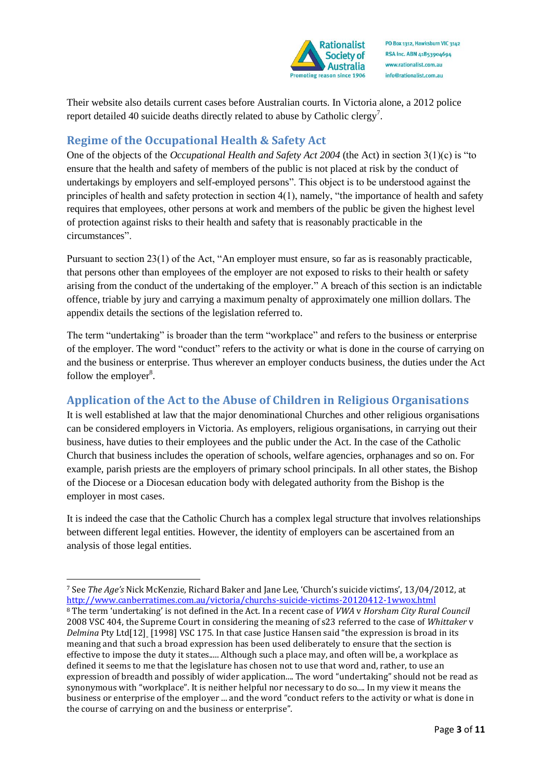

Their website also details current cases before Australian courts. In Victoria alone, a 2012 police report detailed 40 suicide deaths directly related to abuse by Catholic clergy<sup>7</sup>.

# **Regime of the Occupational Health & Safety Act**

One of the objects of the *Occupational Health and Safety Act 2004* (the Act) in section 3(1)(c) is "to ensure that the health and safety of members of the public is not placed at risk by the conduct of undertakings by employers and self-employed persons". This object is to be understood against the principles of health and safety protection in section 4(1), namely, "the importance of health and safety requires that employees, other persons at work and members of the public be given the highest level of protection against risks to their health and safety that is reasonably practicable in the circumstances".

Pursuant to section 23(1) of the Act, "An employer must ensure, so far as is reasonably practicable, that persons other than employees of the employer are not exposed to risks to their health or safety arising from the conduct of the undertaking of the employer." A breach of this section is an indictable offence, triable by jury and carrying a maximum penalty of approximately one million dollars. The appendix details the sections of the legislation referred to.

The term "undertaking" is broader than the term "workplace" and refers to the business or enterprise of the employer. The word "conduct" refers to the activity or what is done in the course of carrying on and the business or enterprise. Thus wherever an employer conducts business, the duties under the Act follow the employer $8$ .

# **Application of the Act to the Abuse of Children in Religious Organisations**

It is well established at law that the major denominational Churches and other religious organisations can be considered employers in Victoria. As employers, religious organisations, in carrying out their business, have duties to their employees and the public under the Act. In the case of the Catholic Church that business includes the operation of schools, welfare agencies, orphanages and so on. For example, parish priests are the employers of primary school principals. In all other states, the Bishop of the Diocese or a Diocesan education body with delegated authority from the Bishop is the employer in most cases.

It is indeed the case that the Catholic Church has a complex legal structure that involves relationships between different legal entities. However, the identity of employers can be ascertained from an analysis of those legal entities.

.<br>-

<sup>7</sup> See *The Age's* Nick McKenzie, Richard Baker and Jane Lee, 'Church's suicide victims', 13/04/2012, at <http://www.canberratimes.com.au/victoria/churchs-suicide-victims-20120412-1wwox.html> <sup>8</sup> The term 'undertaking' is not defined in the Act. In a recent case of *VWA* v *Horsham City Rural Council* 2008 VSC 404, the Supreme Court in considering the meaning of s23 referred to the case of *Whittaker* v *Delmina* Pty Ltd[12] [1998] VSC 175. In that case Justice Hansen said "the expression is broad in its meaning and that such a broad expression has been used deliberately to ensure that the section is effective to impose the duty it states..... Although such a place may, and often will be, a workplace as defined it seems to me that the legislature has chosen not to use that word and, rather, to use an expression of breadth and possibly of wider application.... The word "undertaking" should not be read as synonymous with "workplace". It is neither helpful nor necessary to do so.... In my view it means the business or enterprise of the employer ... and the word "conduct refers to the activity or what is done in the course of carrying on and the business or enterprise".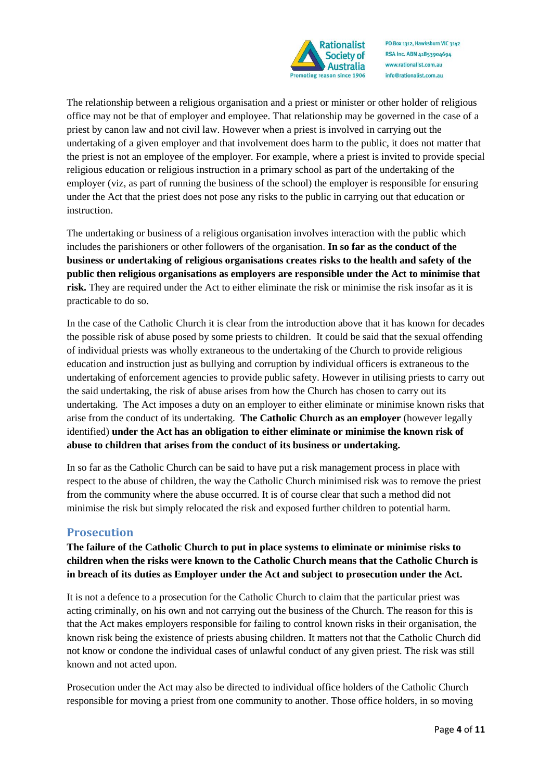

The relationship between a religious organisation and a priest or minister or other holder of religious office may not be that of employer and employee. That relationship may be governed in the case of a priest by canon law and not civil law. However when a priest is involved in carrying out the undertaking of a given employer and that involvement does harm to the public, it does not matter that the priest is not an employee of the employer. For example, where a priest is invited to provide special religious education or religious instruction in a primary school as part of the undertaking of the employer (viz, as part of running the business of the school) the employer is responsible for ensuring under the Act that the priest does not pose any risks to the public in carrying out that education or instruction.

The undertaking or business of a religious organisation involves interaction with the public which includes the parishioners or other followers of the organisation. **In so far as the conduct of the business or undertaking of religious organisations creates risks to the health and safety of the public then religious organisations as employers are responsible under the Act to minimise that risk.** They are required under the Act to either eliminate the risk or minimise the risk insofar as it is practicable to do so.

In the case of the Catholic Church it is clear from the introduction above that it has known for decades the possible risk of abuse posed by some priests to children. It could be said that the sexual offending of individual priests was wholly extraneous to the undertaking of the Church to provide religious education and instruction just as bullying and corruption by individual officers is extraneous to the undertaking of enforcement agencies to provide public safety. However in utilising priests to carry out the said undertaking, the risk of abuse arises from how the Church has chosen to carry out its undertaking. The Act imposes a duty on an employer to either eliminate or minimise known risks that arise from the conduct of its undertaking. **The Catholic Church as an employer** (however legally identified) **under the Act has an obligation to either eliminate or minimise the known risk of abuse to children that arises from the conduct of its business or undertaking.**

In so far as the Catholic Church can be said to have put a risk management process in place with respect to the abuse of children, the way the Catholic Church minimised risk was to remove the priest from the community where the abuse occurred. It is of course clear that such a method did not minimise the risk but simply relocated the risk and exposed further children to potential harm.

## **Prosecution**

**The failure of the Catholic Church to put in place systems to eliminate or minimise risks to children when the risks were known to the Catholic Church means that the Catholic Church is in breach of its duties as Employer under the Act and subject to prosecution under the Act.** 

It is not a defence to a prosecution for the Catholic Church to claim that the particular priest was acting criminally, on his own and not carrying out the business of the Church. The reason for this is that the Act makes employers responsible for failing to control known risks in their organisation, the known risk being the existence of priests abusing children. It matters not that the Catholic Church did not know or condone the individual cases of unlawful conduct of any given priest. The risk was still known and not acted upon.

Prosecution under the Act may also be directed to individual office holders of the Catholic Church responsible for moving a priest from one community to another. Those office holders, in so moving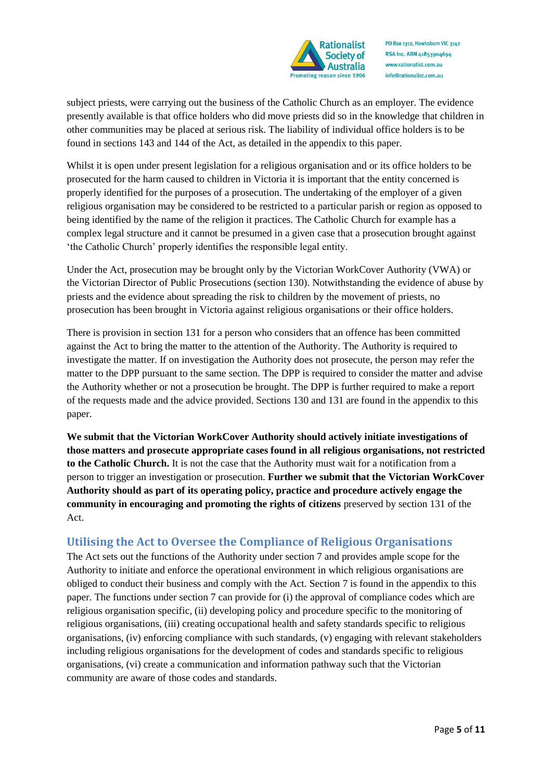

subject priests, were carrying out the business of the Catholic Church as an employer. The evidence presently available is that office holders who did move priests did so in the knowledge that children in other communities may be placed at serious risk. The liability of individual office holders is to be found in sections 143 and 144 of the Act, as detailed in the appendix to this paper.

Whilst it is open under present legislation for a religious organisation and or its office holders to be prosecuted for the harm caused to children in Victoria it is important that the entity concerned is properly identified for the purposes of a prosecution. The undertaking of the employer of a given religious organisation may be considered to be restricted to a particular parish or region as opposed to being identified by the name of the religion it practices. The Catholic Church for example has a complex legal structure and it cannot be presumed in a given case that a prosecution brought against 'the Catholic Church' properly identifies the responsible legal entity.

Under the Act, prosecution may be brought only by the Victorian WorkCover Authority (VWA) or the Victorian Director of Public Prosecutions (section 130). Notwithstanding the evidence of abuse by priests and the evidence about spreading the risk to children by the movement of priests, no prosecution has been brought in Victoria against religious organisations or their office holders.

There is provision in section 131 for a person who considers that an offence has been committed against the Act to bring the matter to the attention of the Authority. The Authority is required to investigate the matter. If on investigation the Authority does not prosecute, the person may refer the matter to the DPP pursuant to the same section. The DPP is required to consider the matter and advise the Authority whether or not a prosecution be brought. The DPP is further required to make a report of the requests made and the advice provided. Sections 130 and 131 are found in the appendix to this paper.

**We submit that the Victorian WorkCover Authority should actively initiate investigations of those matters and prosecute appropriate cases found in all religious organisations, not restricted to the Catholic Church.** It is not the case that the Authority must wait for a notification from a person to trigger an investigation or prosecution. **Further we submit that the Victorian WorkCover Authority should as part of its operating policy, practice and procedure actively engage the community in encouraging and promoting the rights of citizens** preserved by section 131 of the Act.

## **Utilising the Act to Oversee the Compliance of Religious Organisations**

The Act sets out the functions of the Authority under section 7 and provides ample scope for the Authority to initiate and enforce the operational environment in which religious organisations are obliged to conduct their business and comply with the Act. Section 7 is found in the appendix to this paper. The functions under section 7 can provide for (i) the approval of compliance codes which are religious organisation specific, (ii) developing policy and procedure specific to the monitoring of religious organisations, (iii) creating occupational health and safety standards specific to religious organisations, (iv) enforcing compliance with such standards, (v) engaging with relevant stakeholders including religious organisations for the development of codes and standards specific to religious organisations, (vi) create a communication and information pathway such that the Victorian community are aware of those codes and standards.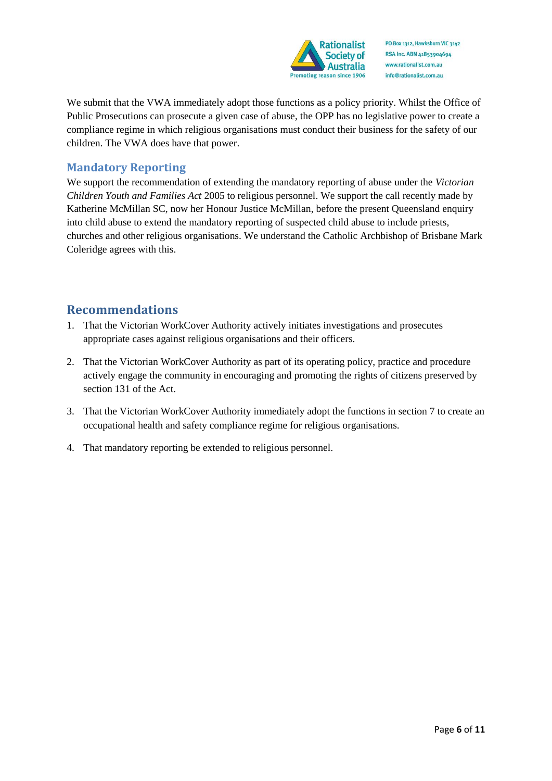

We submit that the VWA immediately adopt those functions as a policy priority. Whilst the Office of Public Prosecutions can prosecute a given case of abuse, the OPP has no legislative power to create a compliance regime in which religious organisations must conduct their business for the safety of our children. The VWA does have that power.

## **Mandatory Reporting**

We support the recommendation of extending the mandatory reporting of abuse under the *Victorian Children Youth and Families Act* 2005 to religious personnel. We support the call recently made by Katherine McMillan SC, now her Honour Justice McMillan, before the present Queensland enquiry into child abuse to extend the mandatory reporting of suspected child abuse to include priests, churches and other religious organisations. We understand the Catholic Archbishop of Brisbane Mark Coleridge agrees with this.

# **Recommendations**

- 1. That the Victorian WorkCover Authority actively initiates investigations and prosecutes appropriate cases against religious organisations and their officers.
- 2. That the Victorian WorkCover Authority as part of its operating policy, practice and procedure actively engage the community in encouraging and promoting the rights of citizens preserved by section 131 of the Act.
- 3. That the Victorian WorkCover Authority immediately adopt the functions in section 7 to create an occupational health and safety compliance regime for religious organisations.
- 4. That mandatory reporting be extended to religious personnel.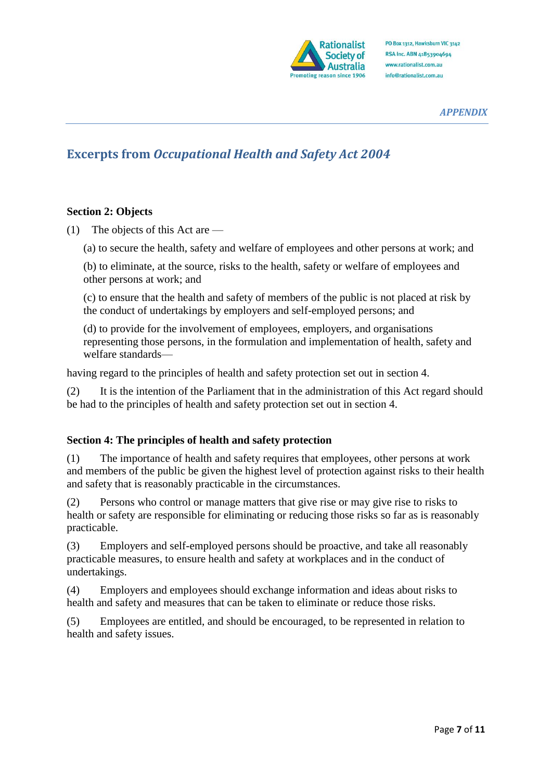

#### *APPENDIX*

# **Excerpts from** *Occupational Health and Safety Act 2004*

## **Section 2: Objects**

(1) The objects of this Act are —

(a) to secure the health, safety and welfare of employees and other persons at work; and

(b) to eliminate, at the source, risks to the health, safety or welfare of employees and other persons at work; and

(c) to ensure that the health and safety of members of the public is not placed at risk by the conduct of undertakings by employers and self-employed persons; and

(d) to provide for the involvement of employees, employers, and organisations representing those persons, in the formulation and implementation of health, safety and welfare standards—

having regard to the principles of health and safety protection set out in section 4.

(2) It is the intention of the Parliament that in the administration of this Act regard should be had to the principles of health and safety protection set out in section 4.

#### **Section 4: The principles of health and safety protection**

(1) The importance of health and safety requires that employees, other persons at work and members of the public be given the highest level of protection against risks to their health and safety that is reasonably practicable in the circumstances.

(2) Persons who control or manage matters that give rise or may give rise to risks to health or safety are responsible for eliminating or reducing those risks so far as is reasonably practicable.

(3) Employers and self-employed persons should be proactive, and take all reasonably practicable measures, to ensure health and safety at workplaces and in the conduct of undertakings.

(4) Employers and employees should exchange information and ideas about risks to health and safety and measures that can be taken to eliminate or reduce those risks.

(5) Employees are entitled, and should be encouraged, to be represented in relation to health and safety issues.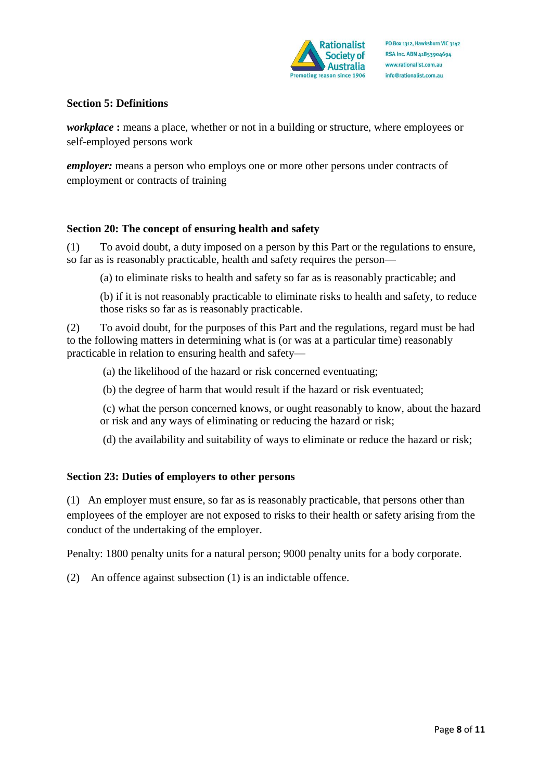

#### **Section 5: Definitions**

*workplace* **:** means a place, whether or not in a building or structure, where employees or self-employed persons work

*employer:* means a person who employs one or more other persons under contracts of employment or contracts of training

## **Section 20: The concept of ensuring health and safety**

(1) To avoid doubt, a duty imposed on a person by this Part or the regulations to ensure, so far as is reasonably practicable, health and safety requires the person—

(a) to eliminate risks to health and safety so far as is reasonably practicable; and

(b) if it is not reasonably practicable to eliminate risks to health and safety, to reduce those risks so far as is reasonably practicable.

(2) To avoid doubt, for the purposes of this Part and the regulations, regard must be had to the following matters in determining what is (or was at a particular time) reasonably practicable in relation to ensuring health and safety—

(a) the likelihood of the hazard or risk concerned eventuating;

(b) the degree of harm that would result if the hazard or risk eventuated;

(c) what the person concerned knows, or ought reasonably to know, about the hazard or risk and any ways of eliminating or reducing the hazard or risk;

(d) the availability and suitability of ways to eliminate or reduce the hazard or risk;

## **Section 23: Duties of employers to other persons**

(1) An employer must ensure, so far as is reasonably practicable, that persons other than employees of the employer are not exposed to risks to their health or safety arising from the conduct of the undertaking of the employer.

Penalty: 1800 penalty units for a natural person; 9000 penalty units for a body corporate.

(2) An offence against subsection (1) is an indictable offence.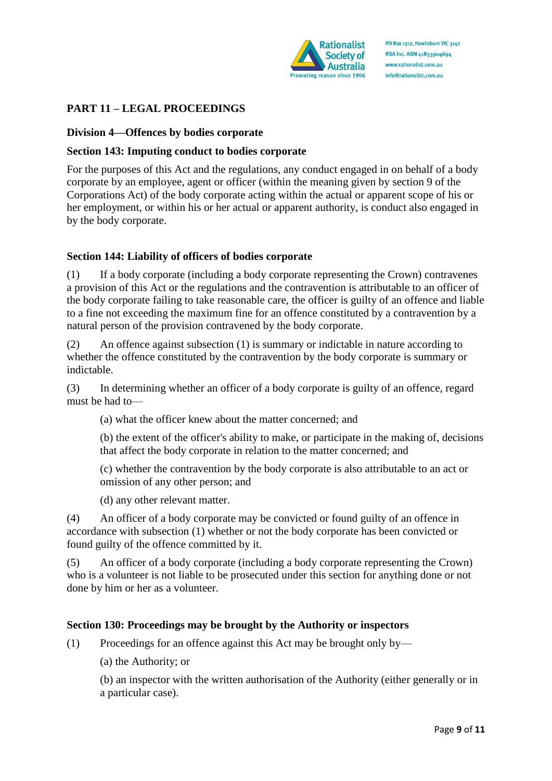

## **PART 11 – LEGAL PROCEEDINGS**

#### **Division 4—Offences by bodies corporate**

#### **Section 143: Imputing conduct to bodies corporate**

For the purposes of this Act and the regulations, any conduct engaged in on behalf of a body corporate by an employee, agent or officer (within the meaning given by section 9 of the Corporations Act) of the body corporate acting within the actual or apparent scope of his or her employment, or within his or her actual or apparent authority, is conduct also engaged in by the body corporate.

#### **Section 144: Liability of officers of bodies corporate**

(1) If a body corporate (including a body corporate representing the Crown) contravenes a provision of this Act or the regulations and the contravention is attributable to an officer of the body corporate failing to take reasonable care, the officer is guilty of an offence and liable to a fine not exceeding the maximum fine for an offence constituted by a contravention by a natural person of the provision contravened by the body corporate.

(2) An offence against subsection (1) is summary or indictable in nature according to whether the offence constituted by the contravention by the body corporate is summary or indictable.

(3) In determining whether an officer of a body corporate is guilty of an offence, regard must be had to—

(a) what the officer knew about the matter concerned; and

(b) the extent of the officer's ability to make, or participate in the making of, decisions that affect the body corporate in relation to the matter concerned; and

(c) whether the contravention by the body corporate is also attributable to an act or omission of any other person; and

(d) any other relevant matter.

(4) An officer of a body corporate may be convicted or found guilty of an offence in accordance with subsection (1) whether or not the body corporate has been convicted or found guilty of the offence committed by it.

(5) An officer of a body corporate (including a body corporate representing the Crown) who is a volunteer is not liable to be prosecuted under this section for anything done or not done by him or her as a volunteer.

#### **Section 130: Proceedings may be brought by the Authority or inspectors**

(1) Proceedings for an offence against this Act may be brought only by—

(a) the Authority; or

(b) an inspector with the written authorisation of the Authority (either generally or in a particular case).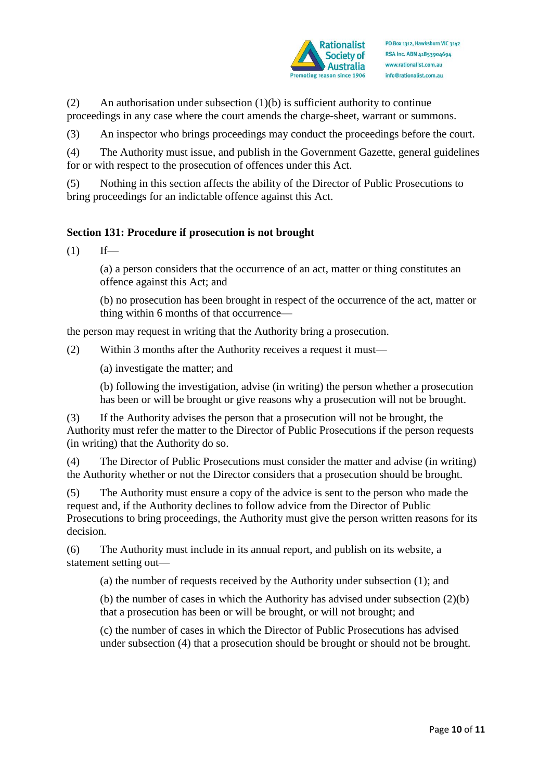

(2) An authorisation under subsection (1)(b) is sufficient authority to continue proceedings in any case where the court amends the charge-sheet, warrant or summons.

(3) An inspector who brings proceedings may conduct the proceedings before the court.

(4) The Authority must issue, and publish in the Government Gazette, general guidelines for or with respect to the prosecution of offences under this Act.

(5) Nothing in this section affects the ability of the Director of Public Prosecutions to bring proceedings for an indictable offence against this Act.

## **Section 131: Procedure if prosecution is not brought**

 $(1)$  If—

(a) a person considers that the occurrence of an act, matter or thing constitutes an offence against this Act; and

(b) no prosecution has been brought in respect of the occurrence of the act, matter or thing within 6 months of that occurrence—

the person may request in writing that the Authority bring a prosecution.

(2) Within 3 months after the Authority receives a request it must—

(a) investigate the matter; and

(b) following the investigation, advise (in writing) the person whether a prosecution has been or will be brought or give reasons why a prosecution will not be brought.

(3) If the Authority advises the person that a prosecution will not be brought, the Authority must refer the matter to the Director of Public Prosecutions if the person requests (in writing) that the Authority do so.

(4) The Director of Public Prosecutions must consider the matter and advise (in writing) the Authority whether or not the Director considers that a prosecution should be brought.

(5) The Authority must ensure a copy of the advice is sent to the person who made the request and, if the Authority declines to follow advice from the Director of Public Prosecutions to bring proceedings, the Authority must give the person written reasons for its decision.

(6) The Authority must include in its annual report, and publish on its website, a statement setting out—

(a) the number of requests received by the Authority under subsection (1); and

(b) the number of cases in which the Authority has advised under subsection (2)(b) that a prosecution has been or will be brought, or will not brought; and

(c) the number of cases in which the Director of Public Prosecutions has advised under subsection (4) that a prosecution should be brought or should not be brought.